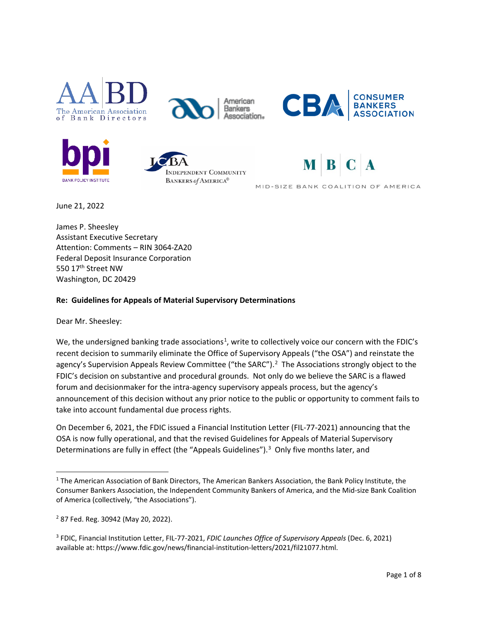



American **Bankers** Association.







MID-SIZE BANK COALITION OF AMERICA

June 21, 2022

James P. Sheesley Assistant Executive Secretary Attention: Comments – RIN 3064-ZA20 Federal Deposit Insurance Corporation 550 17<sup>th</sup> Street NW Washington, DC 20429

### **Re: Guidelines for Appeals of Material Supervisory Determinations**

Dear Mr. Sheesley:

We, the undersigned banking trade associations<sup>[1](#page-0-0)</sup>, write to collectively voice our concern with the FDIC's recent decision to summarily eliminate the Office of Supervisory Appeals ("the OSA") and reinstate the agency's Supervision Appeals Review Committee ("the SARC").<sup>[2](#page-0-1)</sup> The Associations strongly object to the FDIC's decision on substantive and procedural grounds. Not only do we believe the SARC is a flawed forum and decisionmaker for the intra-agency supervisory appeals process, but the agency's announcement of this decision without any prior notice to the public or opportunity to comment fails to take into account fundamental due process rights.

On December 6, 2021, the FDIC issued a Financial Institution Letter (FIL-77-2021) announcing that the OSA is now fully operational, and that the revised Guidelines for Appeals of Material Supervisory Determinations are fully in effect (the "Appeals Guidelines").<sup>[3](#page-0-2)</sup> Only five months later, and

<span id="page-0-0"></span><sup>1</sup> The American Association of Bank Directors, The American Bankers Association, the Bank Policy Institute, the Consumer Bankers Association, the Independent Community Bankers of America, and the Mid-size Bank Coalition of America (collectively, "the Associations").

<span id="page-0-1"></span><sup>2</sup> 87 Fed. Reg. 30942 (May 20, 2022).

<span id="page-0-2"></span><sup>3</sup> FDIC, Financial Institution Letter, FIL-77-2021, *FDIC Launches Office of Supervisory Appeals* (Dec. 6, 2021) available at: https://www.fdic.gov/news/financial-institution-letters/2021/fil21077.html.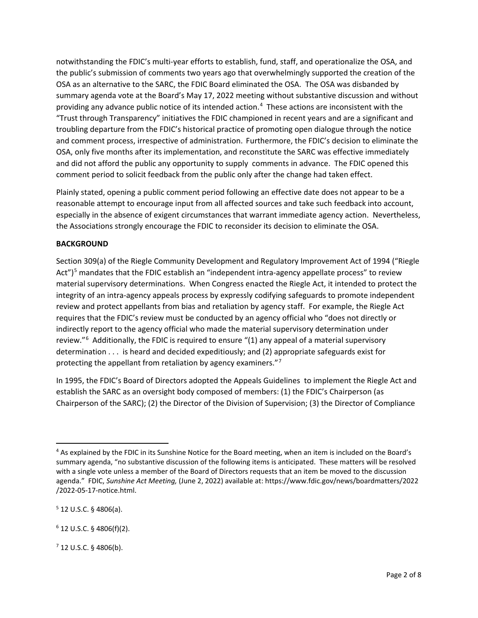notwithstanding the FDIC's multi-year efforts to establish, fund, staff, and operationalize the OSA, and the public's submission of comments two years ago that overwhelmingly supported the creation of the OSA as an alternative to the SARC, the FDIC Board eliminated the OSA. The OSA was disbanded by summary agenda vote at the Board's May 17, 2022 meeting without substantive discussion and without providing any advance public notice of its intended action.<sup>[4](#page-1-0)</sup> These actions are inconsistent with the "Trust through Transparency" initiatives the FDIC championed in recent years and are a significant and troubling departure from the FDIC's historical practice of promoting open dialogue through the notice and comment process, irrespective of administration. Furthermore, the FDIC's decision to eliminate the OSA, only five months after its implementation, and reconstitute the SARC was effective immediately and did not afford the public any opportunity to supply comments in advance. The FDIC opened this comment period to solicit feedback from the public only after the change had taken effect.

Plainly stated, opening a public comment period following an effective date does not appear to be a reasonable attempt to encourage input from all affected sources and take such feedback into account, especially in the absence of exigent circumstances that warrant immediate agency action. Nevertheless, the Associations strongly encourage the FDIC to reconsider its decision to eliminate the OSA.

#### **BACKGROUND**

Section 309(a) of the Riegle Community Development and Regulatory Improvement Act of 1994 ("Riegle Act")<sup>[5](#page-1-1)</sup> mandates that the FDIC establish an "independent intra-agency appellate process" to review material supervisory determinations. When Congress enacted the Riegle Act, it intended to protect the integrity of an intra-agency appeals process by expressly codifying safeguards to promote independent review and protect appellants from bias and retaliation by agency staff. For example, the Riegle Act requires that the FDIC's review must be conducted by an agency official who "does not directly or indirectly report to the agency official who made the material supervisory determination under review."<sup>[6](#page-1-2)</sup> Additionally, the FDIC is required to ensure "(1) any appeal of a material supervisory determination . . . is heard and decided expeditiously; and (2) appropriate safeguards exist for protecting the appellant from retaliation by agency examiners."[7](#page-1-3)

In 1995, the FDIC's Board of Directors adopted the Appeals Guidelines to implement the Riegle Act and establish the SARC as an oversight body composed of members: (1) the FDIC's Chairperson (as Chairperson of the SARC); (2) the Director of the Division of Supervision; (3) the Director of Compliance

<span id="page-1-0"></span><sup>&</sup>lt;sup>4</sup> As explained by the FDIC in its Sunshine Notice for the Board meeting, when an item is included on the Board's summary agenda, "no substantive discussion of the following items is anticipated. These matters will be resolved with a single vote unless a member of the Board of Directors requests that an item be moved to the discussion agenda." FDIC, *Sunshine Act Meeting,* (June 2, 2022) available at: https://www.fdic.gov/news/boardmatters/2022 /2022-05-17-notice.html.

<span id="page-1-1"></span> $5$  12 U.S.C. § 4806(a).

<span id="page-1-2"></span> $6$  12 U.S.C. § 4806(f)(2).

<span id="page-1-3"></span> $7$  12 U.S.C. § 4806(b).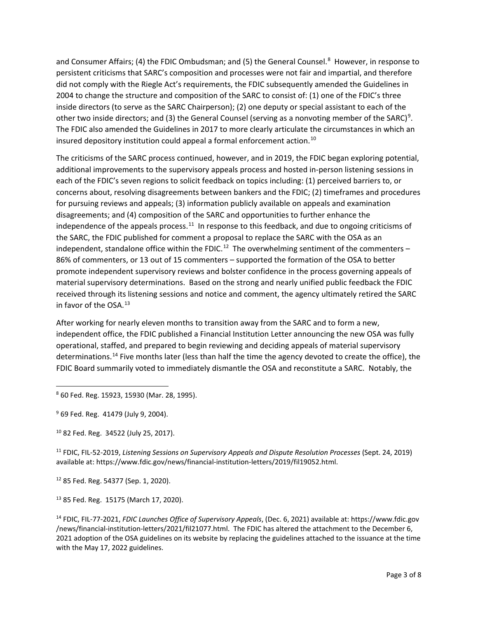and Consumer Affairs; (4) the FDIC Ombudsman; and (5) the General Counsel.<sup>[8](#page-2-0)</sup> However, in response to persistent criticisms that SARC's composition and processes were not fair and impartial, and therefore did not comply with the Riegle Act's requirements, the FDIC subsequently amended the Guidelines in 2004 to change the structure and composition of the SARC to consist of: (1) one of the FDIC's three inside directors (to serve as the SARC Chairperson); (2) one deputy or special assistant to each of the other two inside directors; and (3) the General Counsel (serving as a nonvoting member of the SARC)<sup>[9](#page-2-1)</sup>. The FDIC also amended the Guidelines in 2017 to more clearly articulate the circumstances in which an insured depository institution could appeal a formal enforcement action.<sup>[10](#page-2-2)</sup>

The criticisms of the SARC process continued, however, and in 2019, the FDIC began exploring potential, additional improvements to the supervisory appeals process and hosted in-person listening sessions in each of the FDIC's seven regions to solicit feedback on topics including: (1) perceived barriers to, or concerns about, resolving disagreements between bankers and the FDIC; (2) timeframes and procedures for pursuing reviews and appeals; (3) information publicly available on appeals and examination disagreements; and (4) composition of the SARC and opportunities to further enhance the independence of the appeals process.<sup>11</sup> In response to this feedback, and due to ongoing criticisms of the SARC, the FDIC published for comment a proposal to replace the SARC with the OSA as an independent, standalone office within the FDIC.<sup>[12](#page-2-4)</sup> The overwhelming sentiment of the commenters -86% of commenters, or 13 out of 15 commenters – supported the formation of the OSA to better promote independent supervisory reviews and bolster confidence in the process governing appeals of material supervisory determinations. Based on the strong and nearly unified public feedback the FDIC received through its listening sessions and notice and comment, the agency ultimately retired the SARC in favor of the OSA.<sup>13</sup>

After working for nearly eleven months to transition away from the SARC and to form a new, independent office, the FDIC published a Financial Institution Letter announcing the new OSA was fully operational, staffed, and prepared to begin reviewing and deciding appeals of material supervisory determinations.<sup>[14](#page-2-6)</sup> Five months later (less than half the time the agency devoted to create the office), the FDIC Board summarily voted to immediately dismantle the OSA and reconstitute a SARC. Notably, the

<span id="page-2-0"></span><sup>8</sup> 60 Fed. Reg. 15923, 15930 (Mar. 28, 1995).

<span id="page-2-2"></span><sup>10</sup> 82 Fed. Reg. 34522 (July 25, 2017).

<span id="page-2-3"></span><sup>11</sup> FDIC, FIL-52-2019, *Listening Sessions on Supervisory Appeals and Dispute Resolution Processes* (Sept. 24, 2019) available at: https://www.fdic.gov/news/financial-institution-letters/2019/fil19052.html.

<span id="page-2-4"></span><sup>12</sup> 85 Fed. Reg. 54377 (Sep. 1, 2020).

<span id="page-2-5"></span><sup>13</sup> 85 Fed. Reg. 15175 (March 17, 2020).

<span id="page-2-6"></span><sup>14</sup> FDIC, FIL-77-2021, *FDIC Launches Office of Supervisory Appeals*, (Dec. 6, 2021) available at: https://www.fdic.gov /news/financial-institution-letters/2021/fil21077.html. The FDIC has altered the attachment to the December 6, 2021 adoption of the OSA guidelines on its website by replacing the guidelines attached to the issuance at the time with the May 17, 2022 guidelines.

<span id="page-2-1"></span><sup>&</sup>lt;sup>9</sup> 69 Fed. Reg. 41479 (July 9, 2004).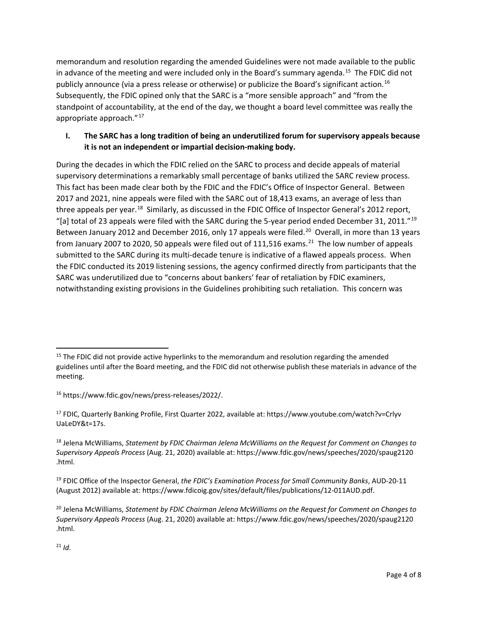memorandum and resolution regarding the amended Guidelines were not made available to the public in advance of the meeting and were included only in the Board's summary agenda.<sup>[15](#page-3-0)</sup> The FDIC did not publicly announce (via a press release or otherwise) or publicize the Board's significant action.[16](#page-3-1)  Subsequently, the FDIC opined only that the SARC is a "more sensible approach" and "from the standpoint of accountability, at the end of the day, we thought a board level committee was really the appropriate approach."<sup>17</sup>

## **I. The SARC has a long tradition of being an underutilized forum for supervisory appeals because it is not an independent or impartial decision-making body.**

During the decades in which the FDIC relied on the SARC to process and decide appeals of material supervisory determinations a remarkably small percentage of banks utilized the SARC review process. This fact has been made clear both by the FDIC and the FDIC's Office of Inspector General. Between 2017 and 2021, nine appeals were filed with the SARC out of 18,413 exams, an average of less than three appeals per year.<sup>[18](#page-3-3)</sup> Similarly, as discussed in the FDIC Office of Inspector General's 2012 report, "[a] total of 23 appeals were filed with the SARC during the 5-year period ended December 31, 2011."<sup>[19](#page-3-4)</sup> Between January 2012 and December 2016, only 17 appeals were filed.<sup>20</sup> Overall, in more than 13 years from January 2007 to 2020, 50 appeals were filed out of 111,516 exams.<sup>[21](#page-3-6)</sup> The low number of appeals submitted to the SARC during its multi-decade tenure is indicative of a flawed appeals process. When the FDIC conducted its 2019 listening sessions, the agency confirmed directly from participants that the SARC was underutilized due to "concerns about bankers' fear of retaliation by FDIC examiners, notwithstanding existing provisions in the Guidelines prohibiting such retaliation. This concern was

<span id="page-3-0"></span><sup>&</sup>lt;sup>15</sup> The FDIC did not provide active hyperlinks to the memorandum and resolution regarding the amended guidelines until after the Board meeting, and the FDIC did not otherwise publish these materials in advance of the meeting.

<span id="page-3-1"></span><sup>16</sup> https://www.fdic.gov/news/press-releases/2022/.

<span id="page-3-2"></span><sup>17</sup> FDIC, Quarterly Banking Profile, First Quarter 2022, available at: https://www.youtube.com/watch?v=Crlyv UaLeDY&t=17s.

<span id="page-3-3"></span><sup>18</sup> Jelena McWilliams, *Statement by FDIC Chairman Jelena McWilliams on the Request for Comment on Changes to Supervisory Appeals Process* (Aug. 21, 2020) available at: https://www.fdic.gov/news/speeches/2020/spaug2120 .html.

<span id="page-3-4"></span><sup>19</sup> FDIC Office of the Inspector General, *the FDIC's Examination Process for Small Community Banks*, AUD-20-11 (August 2012) available at: https://www.fdicoig.gov/sites/default/files/publications/12-011AUD.pdf.

<span id="page-3-6"></span><span id="page-3-5"></span><sup>20</sup> Jelena McWilliams, *Statement by FDIC Chairman Jelena McWilliams on the Request for Comment on Changes to Supervisory Appeals Process* (Aug. 21, 2020) available at: https://www.fdic.gov/news/speeches/2020/spaug2120 .html.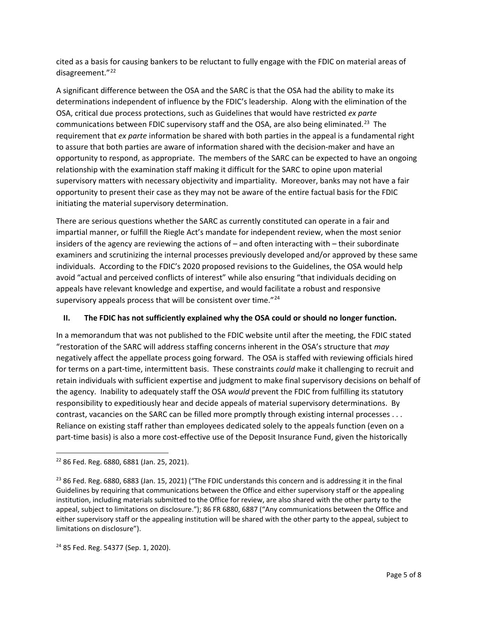cited as a basis for causing bankers to be reluctant to fully engage with the FDIC on material areas of disagreement."<sup>[22](#page-4-0)</sup>

A significant difference between the OSA and the SARC is that the OSA had the ability to make its determinations independent of influence by the FDIC's leadership. Along with the elimination of the OSA, critical due process protections, such as Guidelines that would have restricted *ex parte* communications between FDIC supervisory staff and the OSA, are also being eliminated.<sup>23</sup> The requirement that *ex parte* information be shared with both parties in the appeal is a fundamental right to assure that both parties are aware of information shared with the decision-maker and have an opportunity to respond, as appropriate. The members of the SARC can be expected to have an ongoing relationship with the examination staff making it difficult for the SARC to opine upon material supervisory matters with necessary objectivity and impartiality. Moreover, banks may not have a fair opportunity to present their case as they may not be aware of the entire factual basis for the FDIC initiating the material supervisory determination.

There are serious questions whether the SARC as currently constituted can operate in a fair and impartial manner, or fulfill the Riegle Act's mandate for independent review, when the most senior insiders of the agency are reviewing the actions of – and often interacting with – their subordinate examiners and scrutinizing the internal processes previously developed and/or approved by these same individuals. According to the FDIC's 2020 proposed revisions to the Guidelines, the OSA would help avoid "actual and perceived conflicts of interest" while also ensuring "that individuals deciding on appeals have relevant knowledge and expertise, and would facilitate a robust and responsive supervisory appeals process that will be consistent over time."<sup>[24](#page-4-2)</sup>

### **II. The FDIC has not sufficiently explained why the OSA could or should no longer function.**

In a memorandum that was not published to the FDIC website until after the meeting, the FDIC stated "restoration of the SARC will address staffing concerns inherent in the OSA's structure that *may* negatively affect the appellate process going forward. The OSA is staffed with reviewing officials hired for terms on a part-time, intermittent basis. These constraints *could* make it challenging to recruit and retain individuals with sufficient expertise and judgment to make final supervisory decisions on behalf of the agency. Inability to adequately staff the OSA *would* prevent the FDIC from fulfilling its statutory responsibility to expeditiously hear and decide appeals of material supervisory determinations. By contrast, vacancies on the SARC can be filled more promptly through existing internal processes . . . Reliance on existing staff rather than employees dedicated solely to the appeals function (even on a part-time basis) is also a more cost-effective use of the Deposit Insurance Fund, given the historically

<span id="page-4-2"></span><sup>24</sup> 85 Fed. Reg. 54377 (Sep. 1, 2020).

<span id="page-4-0"></span><sup>22</sup> 86 Fed. Reg. 6880, 6881 (Jan. 25, 2021).

<span id="page-4-1"></span> $2386$  Fed. Reg. 6880, 6883 (Jan. 15, 2021) ("The FDIC understands this concern and is addressing it in the final Guidelines by requiring that communications between the Office and either supervisory staff or the appealing institution, including materials submitted to the Office for review, are also shared with the other party to the appeal, subject to limitations on disclosure."); 86 FR 6880, 6887 ("Any communications between the Office and either supervisory staff or the appealing institution will be shared with the other party to the appeal, subject to limitations on disclosure").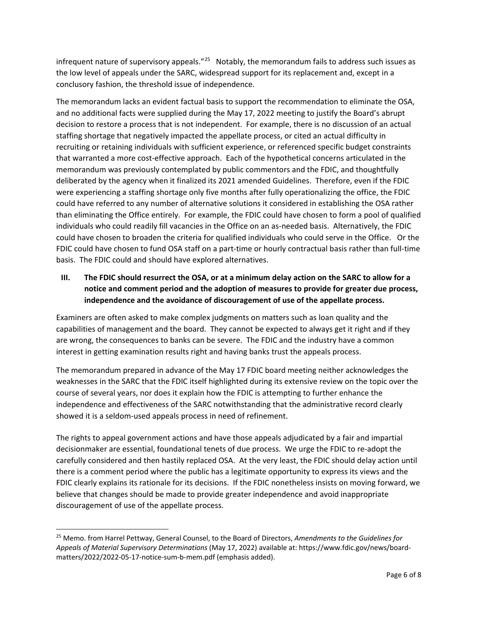infrequent nature of supervisory appeals." $^{25}$  $^{25}$  $^{25}$  Notably, the memorandum fails to address such issues as the low level of appeals under the SARC, widespread support for its replacement and, except in a conclusory fashion, the threshold issue of independence.

The memorandum lacks an evident factual basis to support the recommendation to eliminate the OSA, and no additional facts were supplied during the May 17, 2022 meeting to justify the Board's abrupt decision to restore a process that is not independent. For example, there is no discussion of an actual staffing shortage that negatively impacted the appellate process, or cited an actual difficulty in recruiting or retaining individuals with sufficient experience, or referenced specific budget constraints that warranted a more cost-effective approach. Each of the hypothetical concerns articulated in the memorandum was previously contemplated by public commentors and the FDIC, and thoughtfully deliberated by the agency when it finalized its 2021 amended Guidelines. Therefore, even if the FDIC were experiencing a staffing shortage only five months after fully operationalizing the office, the FDIC could have referred to any number of alternative solutions it considered in establishing the OSA rather than eliminating the Office entirely. For example, the FDIC could have chosen to form a pool of qualified individuals who could readily fill vacancies in the Office on an as-needed basis. Alternatively, the FDIC could have chosen to broaden the criteria for qualified individuals who could serve in the Office. Or the FDIC could have chosen to fund OSA staff on a part-time or hourly contractual basis rather than full-time basis. The FDIC could and should have explored alternatives.

# **III. The FDIC should resurrect the OSA, or at a minimum delay action on the SARC to allow for a notice and comment period and the adoption of measures to provide for greater due process, independence and the avoidance of discouragement of use of the appellate process.**

Examiners are often asked to make complex judgments on matters such as loan quality and the capabilities of management and the board. They cannot be expected to always get it right and if they are wrong, the consequences to banks can be severe. The FDIC and the industry have a common interest in getting examination results right and having banks trust the appeals process.

The memorandum prepared in advance of the May 17 FDIC board meeting neither acknowledges the weaknesses in the SARC that the FDIC itself highlighted during its extensive review on the topic over the course of several years, nor does it explain how the FDIC is attempting to further enhance the independence and effectiveness of the SARC notwithstanding that the administrative record clearly showed it is a seldom-used appeals process in need of refinement.

The rights to appeal government actions and have those appeals adjudicated by a fair and impartial decisionmaker are essential, foundational tenets of due process. We urge the FDIC to re-adopt the carefully considered and then hastily replaced OSA. At the very least, the FDIC should delay action until there is a comment period where the public has a legitimate opportunity to express its views and the FDIC clearly explains its rationale for its decisions. If the FDIC nonetheless insists on moving forward, we believe that changes should be made to provide greater independence and avoid inappropriate discouragement of use of the appellate process.

<span id="page-5-0"></span><sup>25</sup> Memo. from Harrel Pettway, General Counsel, to the Board of Directors, *Amendments to the Guidelines for Appeals of Material Supervisory Determinations* (May 17, 2022) available at: https://www.fdic.gov/news/boardmatters/2022/2022-05-17-notice-sum-b-mem.pdf (emphasis added).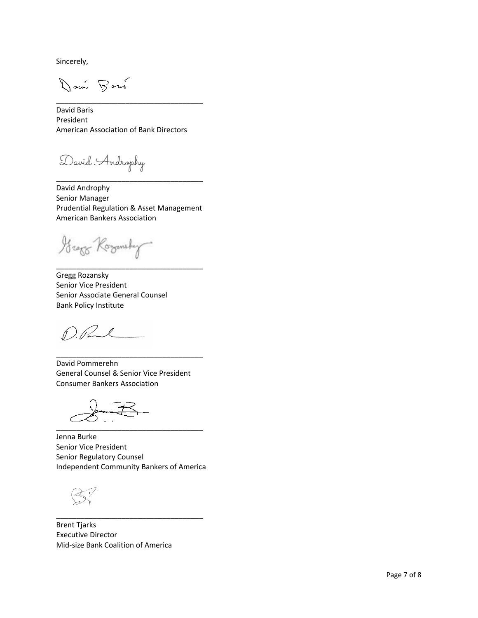Sincerely,

Don't Bour

David Baris President American Association of Bank Directors

\_\_\_\_\_\_\_\_\_\_\_\_\_\_\_\_\_\_\_\_\_\_\_\_\_\_\_\_\_\_\_\_\_\_\_\_

David Androphy

David Androphy Senior Manager Prudential Regulation & Asset Management American Bankers Association

\_\_\_\_\_\_\_\_\_\_\_\_\_\_\_\_\_\_\_\_\_\_\_\_\_\_\_\_\_\_\_\_\_\_\_\_

\_\_\_\_\_\_\_\_\_\_\_\_\_\_\_\_\_\_\_\_\_\_\_\_\_\_\_\_\_\_\_\_\_\_\_\_

Grago Koromsky

Gregg Rozansky Senior Vice President Senior Associate General Counsel Bank Policy Institute

 $\int \frac{d^2y}{dx^2}$ 

David Pommerehn General Counsel & Senior Vice President Consumer Bankers Association

\_\_\_\_\_\_\_\_\_\_\_\_\_\_\_\_\_\_\_\_\_\_\_\_\_\_\_\_\_\_\_\_\_\_\_\_

\_\_\_\_\_\_\_\_\_\_\_\_\_\_\_\_\_\_\_\_\_\_\_\_\_\_\_\_\_\_\_\_\_\_\_\_

Jenna Burke Senior Vice President Senior Regulatory Counsel Independent Community Bankers of America

\_\_\_\_\_\_\_\_\_\_\_\_\_\_\_\_\_\_\_\_\_\_\_\_\_\_\_\_\_\_\_\_\_\_\_\_

Brent Tjarks Executive Director Mid-size Bank Coalition of America